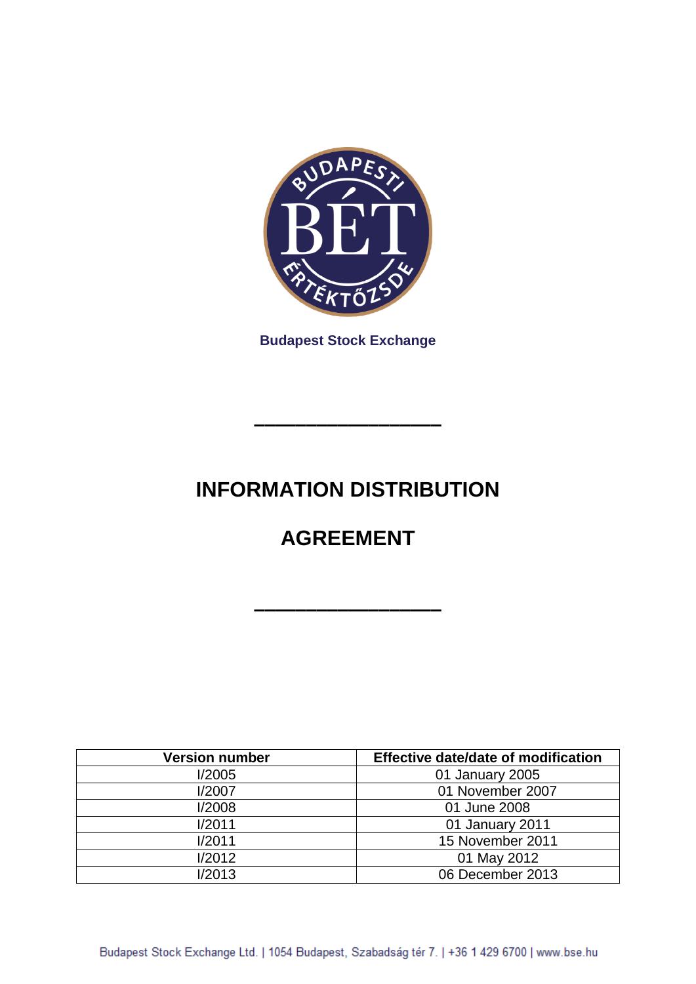

**Budapest Stock Exchange**

# **INFORMATION DISTRIBUTION**

**––––––––––––––––––**

# **AGREEMENT**

**––––––––––––––––––**

| <b>Version number</b> | Effective date/date of modification |
|-----------------------|-------------------------------------|
| I/2005                | 01 January 2005                     |
| I/2007                | 01 November 2007                    |
| I/2008                | 01 June 2008                        |
| I/2011                | 01 January 2011                     |
| I/2011                | 15 November 2011                    |
| 1/2012                | 01 May 2012                         |
| 1/2013                | 06 December 2013                    |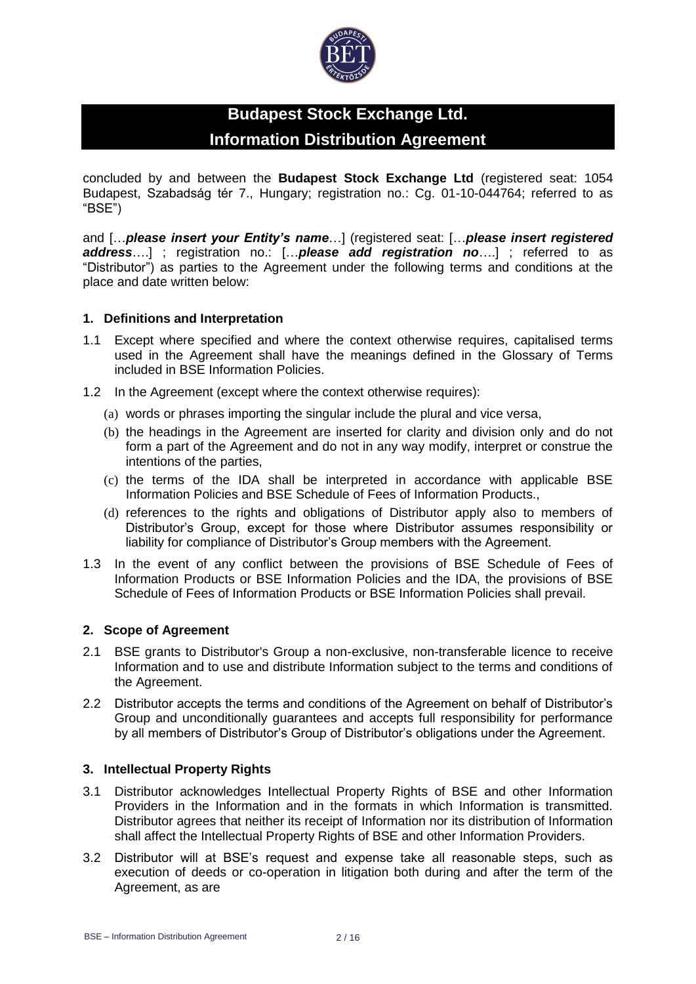

# **Budapest Stock Exchange Ltd. Information Distribution Agreement**

concluded by and between the **Budapest Stock Exchange Ltd** (registered seat: 1054 Budapest, Szabadság tér 7., Hungary; registration no.: Cg. 01-10-044764; referred to as "BSE")

and […*please insert your Entity's name*…] (registered seat: […*please insert registered address*….] ; registration no.: […*please add registration no*….] ; referred to as "Distributor") as parties to the Agreement under the following terms and conditions at the place and date written below:

#### **1. Definitions and Interpretation**

- 1.1 Except where specified and where the context otherwise requires, capitalised terms used in the Agreement shall have the meanings defined in the Glossary of Terms included in BSE Information Policies.
- 1.2 In the Agreement (except where the context otherwise requires):
	- (a) words or phrases importing the singular include the plural and vice versa,
	- (b) the headings in the Agreement are inserted for clarity and division only and do not form a part of the Agreement and do not in any way modify, interpret or construe the intentions of the parties,
	- (c) the terms of the IDA shall be interpreted in accordance with applicable BSE Information Policies and BSE Schedule of Fees of Information Products.,
	- (d) references to the rights and obligations of Distributor apply also to members of Distributor's Group, except for those where Distributor assumes responsibility or liability for compliance of Distributor's Group members with the Agreement.
- 1.3 In the event of any conflict between the provisions of BSE Schedule of Fees of Information Products or BSE Information Policies and the IDA, the provisions of BSE Schedule of Fees of Information Products or BSE Information Policies shall prevail.

#### **2. Scope of Agreement**

- 2.1 BSE grants to Distributor's Group a non-exclusive, non-transferable licence to receive Information and to use and distribute Information subject to the terms and conditions of the Agreement.
- 2.2 Distributor accepts the terms and conditions of the Agreement on behalf of Distributor's Group and unconditionally guarantees and accepts full responsibility for performance by all members of Distributor's Group of Distributor's obligations under the Agreement.

#### **3. Intellectual Property Rights**

- 3.1 Distributor acknowledges Intellectual Property Rights of BSE and other Information Providers in the Information and in the formats in which Information is transmitted. Distributor agrees that neither its receipt of Information nor its distribution of Information shall affect the Intellectual Property Rights of BSE and other Information Providers.
- 3.2 Distributor will at BSE's request and expense take all reasonable steps, such as execution of deeds or co-operation in litigation both during and after the term of the Agreement, as are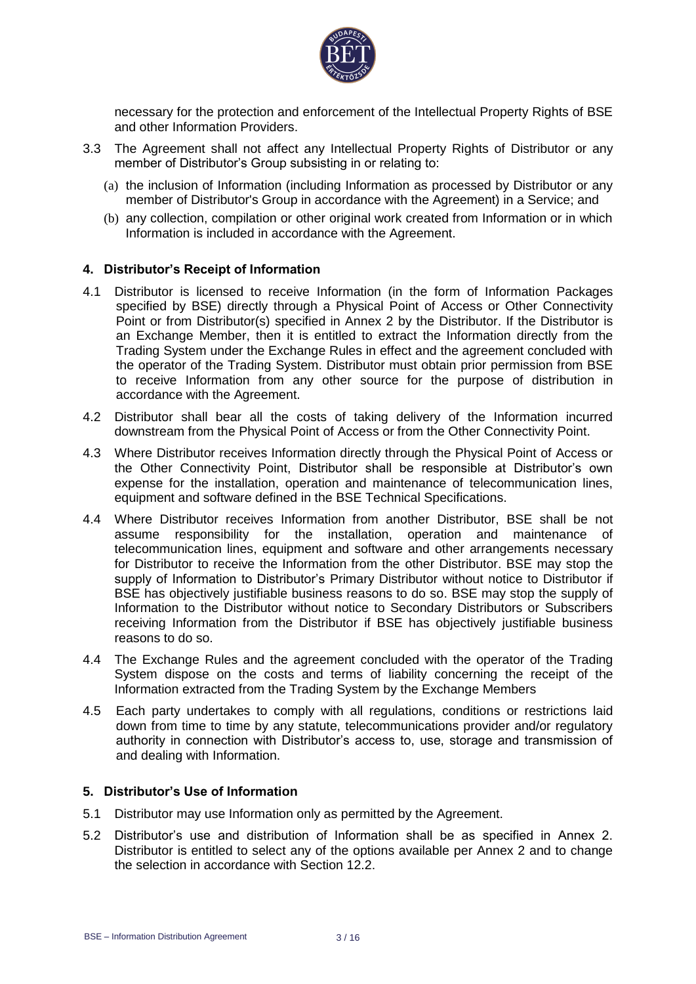

necessary for the protection and enforcement of the Intellectual Property Rights of BSE and other Information Providers.

- 3.3 The Agreement shall not affect any Intellectual Property Rights of Distributor or any member of Distributor's Group subsisting in or relating to:
	- (a) the inclusion of Information (including Information as processed by Distributor or any member of Distributor's Group in accordance with the Agreement) in a Service; and
	- (b) any collection, compilation or other original work created from Information or in which Information is included in accordance with the Agreement.

#### **4. Distributor's Receipt of Information**

- 4.1 Distributor is licensed to receive Information (in the form of Information Packages specified by BSE) directly through a Physical Point of Access or Other Connectivity Point or from Distributor(s) specified in Annex 2 by the Distributor. If the Distributor is an Exchange Member, then it is entitled to extract the Information directly from the Trading System under the Exchange Rules in effect and the agreement concluded with the operator of the Trading System. Distributor must obtain prior permission from BSE to receive Information from any other source for the purpose of distribution in accordance with the Agreement.
- 4.2 Distributor shall bear all the costs of taking delivery of the Information incurred downstream from the Physical Point of Access or from the Other Connectivity Point.
- 4.3 Where Distributor receives Information directly through the Physical Point of Access or the Other Connectivity Point, Distributor shall be responsible at Distributor's own expense for the installation, operation and maintenance of telecommunication lines, equipment and software defined in the BSE Technical Specifications.
- 4.4 Where Distributor receives Information from another Distributor, BSE shall be not assume responsibility for the installation, operation and maintenance of telecommunication lines, equipment and software and other arrangements necessary for Distributor to receive the Information from the other Distributor. BSE may stop the supply of Information to Distributor's Primary Distributor without notice to Distributor if BSE has objectively justifiable business reasons to do so. BSE may stop the supply of Information to the Distributor without notice to Secondary Distributors or Subscribers receiving Information from the Distributor if BSE has objectively justifiable business reasons to do so.
- 4.4 The Exchange Rules and the agreement concluded with the operator of the Trading System dispose on the costs and terms of liability concerning the receipt of the Information extracted from the Trading System by the Exchange Members
- 4.5 Each party undertakes to comply with all regulations, conditions or restrictions laid down from time to time by any statute, telecommunications provider and/or regulatory authority in connection with Distributor's access to, use, storage and transmission of and dealing with Information.

#### **5. Distributor's Use of Information**

- 5.1 Distributor may use Information only as permitted by the Agreement.
- 5.2 Distributor's use and distribution of Information shall be as specified in Annex 2. Distributor is entitled to select any of the options available per Annex 2 and to change the selection in accordance with Section 12.2.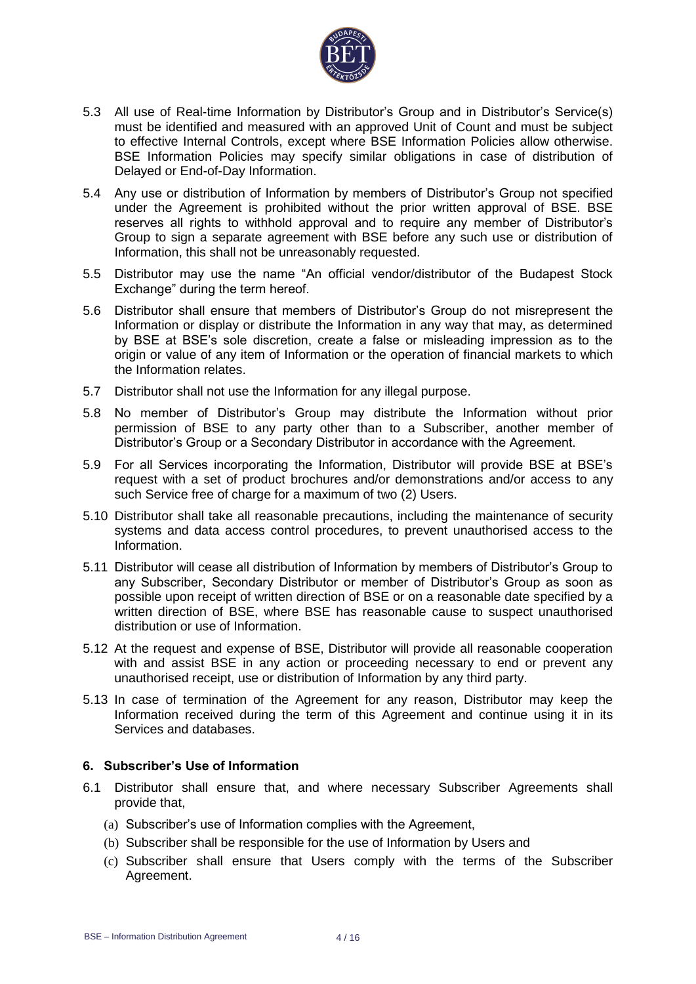

- 5.3 All use of Real-time Information by Distributor's Group and in Distributor's Service(s) must be identified and measured with an approved Unit of Count and must be subject to effective Internal Controls, except where BSE Information Policies allow otherwise. BSE Information Policies may specify similar obligations in case of distribution of Delayed or End-of-Day Information.
- 5.4 Any use or distribution of Information by members of Distributor's Group not specified under the Agreement is prohibited without the prior written approval of BSE. BSE reserves all rights to withhold approval and to require any member of Distributor's Group to sign a separate agreement with BSE before any such use or distribution of Information, this shall not be unreasonably requested.
- 5.5 Distributor may use the name "An official vendor/distributor of the Budapest Stock Exchange" during the term hereof.
- 5.6 Distributor shall ensure that members of Distributor's Group do not misrepresent the Information or display or distribute the Information in any way that may, as determined by BSE at BSE's sole discretion, create a false or misleading impression as to the origin or value of any item of Information or the operation of financial markets to which the Information relates.
- 5.7 Distributor shall not use the Information for any illegal purpose.
- 5.8 No member of Distributor's Group may distribute the Information without prior permission of BSE to any party other than to a Subscriber, another member of Distributor's Group or a Secondary Distributor in accordance with the Agreement.
- 5.9 For all Services incorporating the Information, Distributor will provide BSE at BSE's request with a set of product brochures and/or demonstrations and/or access to any such Service free of charge for a maximum of two (2) Users.
- 5.10 Distributor shall take all reasonable precautions, including the maintenance of security systems and data access control procedures, to prevent unauthorised access to the Information.
- 5.11 Distributor will cease all distribution of Information by members of Distributor's Group to any Subscriber, Secondary Distributor or member of Distributor's Group as soon as possible upon receipt of written direction of BSE or on a reasonable date specified by a written direction of BSE, where BSE has reasonable cause to suspect unauthorised distribution or use of Information.
- 5.12 At the request and expense of BSE, Distributor will provide all reasonable cooperation with and assist BSE in any action or proceeding necessary to end or prevent any unauthorised receipt, use or distribution of Information by any third party.
- 5.13 In case of termination of the Agreement for any reason, Distributor may keep the Information received during the term of this Agreement and continue using it in its Services and databases.

### **6. Subscriber's Use of Information**

- 6.1 Distributor shall ensure that, and where necessary Subscriber Agreements shall provide that,
	- (a) Subscriber's use of Information complies with the Agreement,
	- (b) Subscriber shall be responsible for the use of Information by Users and
	- (c) Subscriber shall ensure that Users comply with the terms of the Subscriber Agreement.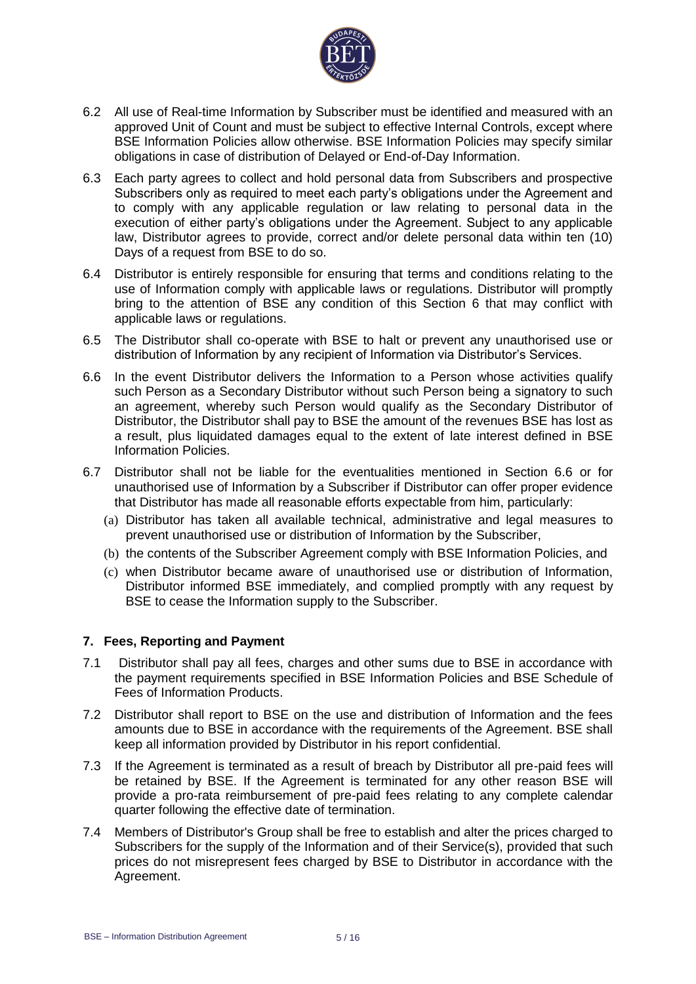

- 6.2 All use of Real-time Information by Subscriber must be identified and measured with an approved Unit of Count and must be subject to effective Internal Controls, except where BSE Information Policies allow otherwise. BSE Information Policies may specify similar obligations in case of distribution of Delayed or End-of-Day Information.
- 6.3 Each party agrees to collect and hold personal data from Subscribers and prospective Subscribers only as required to meet each party's obligations under the Agreement and to comply with any applicable regulation or law relating to personal data in the execution of either party's obligations under the Agreement. Subject to any applicable law, Distributor agrees to provide, correct and/or delete personal data within ten (10) Days of a request from BSE to do so.
- 6.4 Distributor is entirely responsible for ensuring that terms and conditions relating to the use of Information comply with applicable laws or regulations. Distributor will promptly bring to the attention of BSE any condition of this Section 6 that may conflict with applicable laws or regulations.
- 6.5 The Distributor shall co-operate with BSE to halt or prevent any unauthorised use or distribution of Information by any recipient of Information via Distributor's Services.
- 6.6 In the event Distributor delivers the Information to a Person whose activities qualify such Person as a Secondary Distributor without such Person being a signatory to such an agreement, whereby such Person would qualify as the Secondary Distributor of Distributor, the Distributor shall pay to BSE the amount of the revenues BSE has lost as a result, plus liquidated damages equal to the extent of late interest defined in BSE Information Policies.
- 6.7 Distributor shall not be liable for the eventualities mentioned in Section 6.6 or for unauthorised use of Information by a Subscriber if Distributor can offer proper evidence that Distributor has made all reasonable efforts expectable from him, particularly:
	- (a) Distributor has taken all available technical, administrative and legal measures to prevent unauthorised use or distribution of Information by the Subscriber,
	- (b) the contents of the Subscriber Agreement comply with BSE Information Policies, and
	- (c) when Distributor became aware of unauthorised use or distribution of Information, Distributor informed BSE immediately, and complied promptly with any request by BSE to cease the Information supply to the Subscriber.

#### **7. Fees, Reporting and Payment**

- 7.1 Distributor shall pay all fees, charges and other sums due to BSE in accordance with the payment requirements specified in BSE Information Policies and BSE Schedule of Fees of Information Products.
- 7.2 Distributor shall report to BSE on the use and distribution of Information and the fees amounts due to BSE in accordance with the requirements of the Agreement. BSE shall keep all information provided by Distributor in his report confidential.
- 7.3 If the Agreement is terminated as a result of breach by Distributor all pre-paid fees will be retained by BSE. If the Agreement is terminated for any other reason BSE will provide a pro-rata reimbursement of pre-paid fees relating to any complete calendar quarter following the effective date of termination.
- 7.4 Members of Distributor's Group shall be free to establish and alter the prices charged to Subscribers for the supply of the Information and of their Service(s), provided that such prices do not misrepresent fees charged by BSE to Distributor in accordance with the Agreement.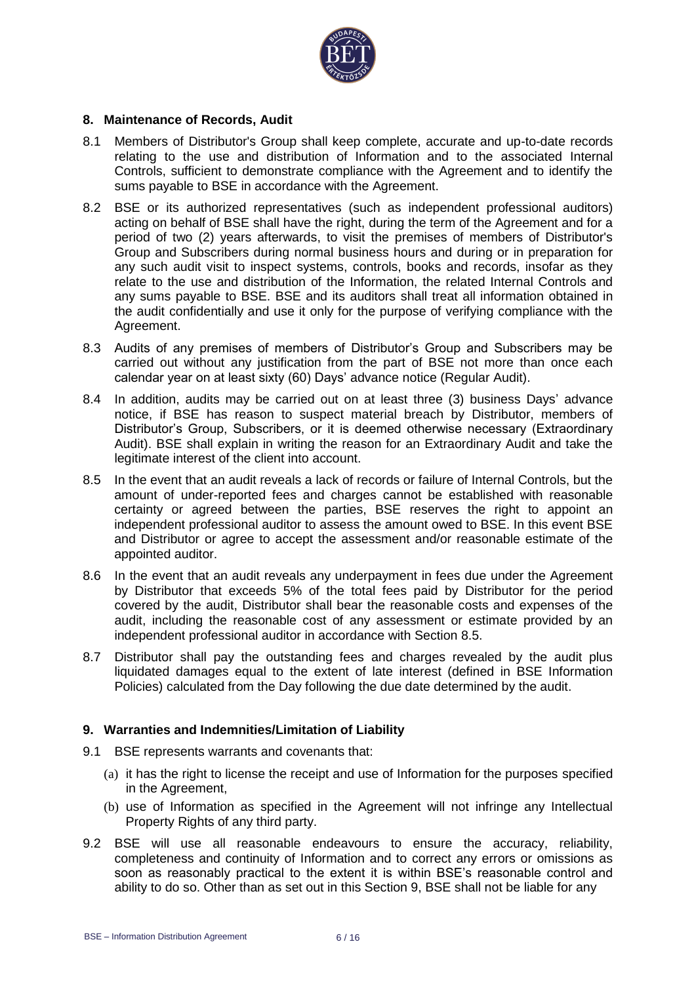

#### **8. Maintenance of Records, Audit**

- 8.1 Members of Distributor's Group shall keep complete, accurate and up-to-date records relating to the use and distribution of Information and to the associated Internal Controls, sufficient to demonstrate compliance with the Agreement and to identify the sums payable to BSE in accordance with the Agreement.
- 8.2 BSE or its authorized representatives (such as independent professional auditors) acting on behalf of BSE shall have the right, during the term of the Agreement and for a period of two (2) years afterwards, to visit the premises of members of Distributor's Group and Subscribers during normal business hours and during or in preparation for any such audit visit to inspect systems, controls, books and records, insofar as they relate to the use and distribution of the Information, the related Internal Controls and any sums payable to BSE. BSE and its auditors shall treat all information obtained in the audit confidentially and use it only for the purpose of verifying compliance with the Agreement.
- 8.3 Audits of any premises of members of Distributor's Group and Subscribers may be carried out without any justification from the part of BSE not more than once each calendar year on at least sixty (60) Days' advance notice (Regular Audit).
- 8.4 In addition, audits may be carried out on at least three (3) business Days' advance notice, if BSE has reason to suspect material breach by Distributor, members of Distributor's Group, Subscribers, or it is deemed otherwise necessary (Extraordinary Audit). BSE shall explain in writing the reason for an Extraordinary Audit and take the legitimate interest of the client into account.
- 8.5 In the event that an audit reveals a lack of records or failure of Internal Controls, but the amount of under-reported fees and charges cannot be established with reasonable certainty or agreed between the parties, BSE reserves the right to appoint an independent professional auditor to assess the amount owed to BSE. In this event BSE and Distributor or agree to accept the assessment and/or reasonable estimate of the appointed auditor.
- 8.6 In the event that an audit reveals any underpayment in fees due under the Agreement by Distributor that exceeds 5% of the total fees paid by Distributor for the period covered by the audit, Distributor shall bear the reasonable costs and expenses of the audit, including the reasonable cost of any assessment or estimate provided by an independent professional auditor in accordance with Section 8.5.
- 8.7 Distributor shall pay the outstanding fees and charges revealed by the audit plus liquidated damages equal to the extent of late interest (defined in BSE Information Policies) calculated from the Day following the due date determined by the audit.

#### **9. Warranties and Indemnities/Limitation of Liability**

- 9.1 BSE represents warrants and covenants that:
	- (a) it has the right to license the receipt and use of Information for the purposes specified in the Agreement,
	- (b) use of Information as specified in the Agreement will not infringe any Intellectual Property Rights of any third party.
- 9.2 BSE will use all reasonable endeavours to ensure the accuracy, reliability, completeness and continuity of Information and to correct any errors or omissions as soon as reasonably practical to the extent it is within BSE's reasonable control and ability to do so. Other than as set out in this Section 9, BSE shall not be liable for any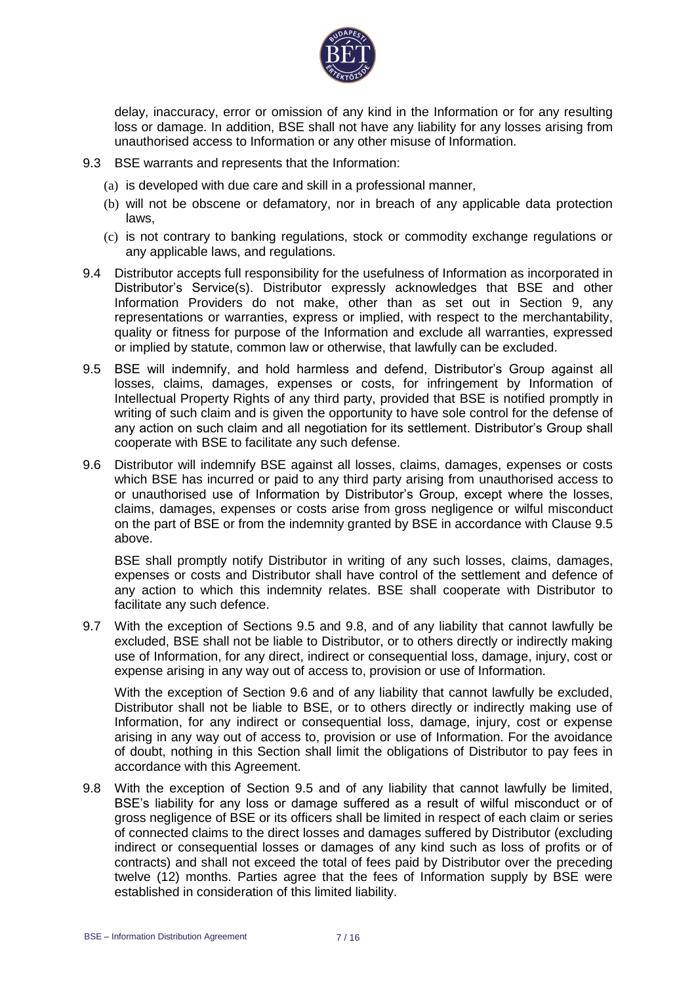

delay, inaccuracy, error or omission of any kind in the Information or for any resulting loss or damage. In addition, BSE shall not have any liability for any losses arising from unauthorised access to Information or any other misuse of Information.

- 9.3 BSE warrants and represents that the Information:
	- (a) is developed with due care and skill in a professional manner,
	- (b) will not be obscene or defamatory, nor in breach of any applicable data protection laws,
	- (c) is not contrary to banking regulations, stock or commodity exchange regulations or any applicable laws, and regulations.
- 9.4 Distributor accepts full responsibility for the usefulness of Information as incorporated in Distributor's Service(s). Distributor expressly acknowledges that BSE and other Information Providers do not make, other than as set out in Section 9, any representations or warranties, express or implied, with respect to the merchantability, quality or fitness for purpose of the Information and exclude all warranties, expressed or implied by statute, common law or otherwise, that lawfully can be excluded.
- 9.5 BSE will indemnify, and hold harmless and defend, Distributor's Group against all losses, claims, damages, expenses or costs, for infringement by Information of Intellectual Property Rights of any third party, provided that BSE is notified promptly in writing of such claim and is given the opportunity to have sole control for the defense of any action on such claim and all negotiation for its settlement. Distributor's Group shall cooperate with BSE to facilitate any such defense.
- 9.6 Distributor will indemnify BSE against all losses, claims, damages, expenses or costs which BSE has incurred or paid to any third party arising from unauthorised access to or unauthorised use of Information by Distributor's Group, except where the losses, claims, damages, expenses or costs arise from gross negligence or wilful misconduct on the part of BSE or from the indemnity granted by BSE in accordance with Clause 9.5 above.

BSE shall promptly notify Distributor in writing of any such losses, claims, damages, expenses or costs and Distributor shall have control of the settlement and defence of any action to which this indemnity relates. BSE shall cooperate with Distributor to facilitate any such defence.

9.7 With the exception of Sections 9.5 and 9.8, and of any liability that cannot lawfully be excluded, BSE shall not be liable to Distributor, or to others directly or indirectly making use of Information, for any direct, indirect or consequential loss, damage, injury, cost or expense arising in any way out of access to, provision or use of Information.

With the exception of Section 9.6 and of any liability that cannot lawfully be excluded, Distributor shall not be liable to BSE, or to others directly or indirectly making use of Information, for any indirect or consequential loss, damage, injury, cost or expense arising in any way out of access to, provision or use of Information. For the avoidance of doubt, nothing in this Section shall limit the obligations of Distributor to pay fees in accordance with this Agreement.

9.8 With the exception of Section 9.5 and of any liability that cannot lawfully be limited, BSE's liability for any loss or damage suffered as a result of wilful misconduct or of gross negligence of BSE or its officers shall be limited in respect of each claim or series of connected claims to the direct losses and damages suffered by Distributor (excluding indirect or consequential losses or damages of any kind such as loss of profits or of contracts) and shall not exceed the total of fees paid by Distributor over the preceding twelve (12) months. Parties agree that the fees of Information supply by BSE were established in consideration of this limited liability.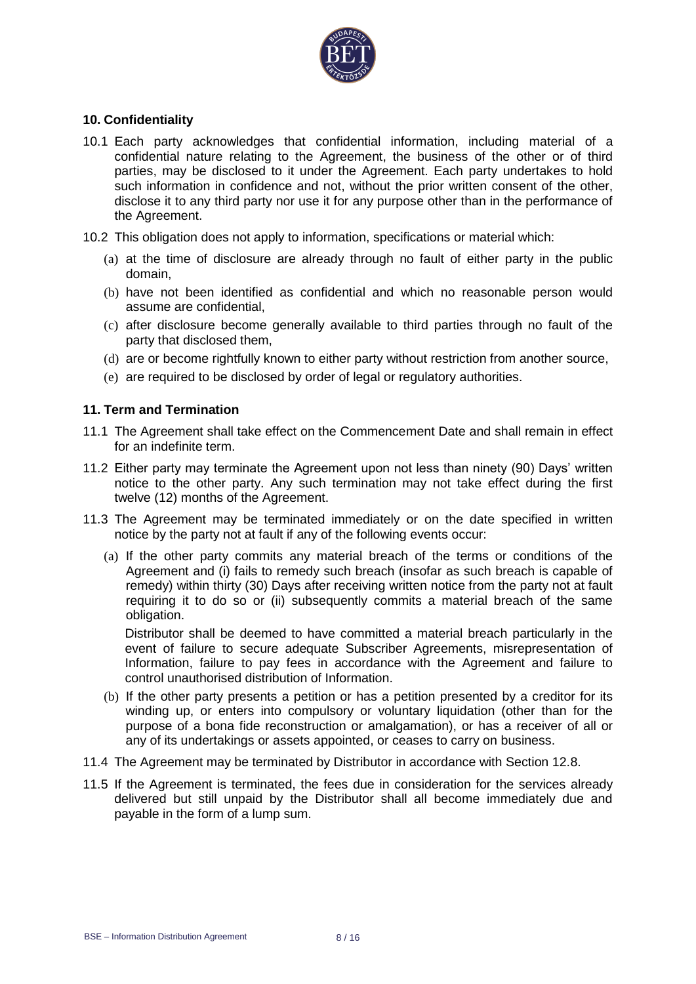

#### **10. Confidentiality**

- 10.1 Each party acknowledges that confidential information, including material of a confidential nature relating to the Agreement, the business of the other or of third parties, may be disclosed to it under the Agreement. Each party undertakes to hold such information in confidence and not, without the prior written consent of the other, disclose it to any third party nor use it for any purpose other than in the performance of the Agreement.
- 10.2 This obligation does not apply to information, specifications or material which:
	- (a) at the time of disclosure are already through no fault of either party in the public domain,
	- (b) have not been identified as confidential and which no reasonable person would assume are confidential,
	- (c) after disclosure become generally available to third parties through no fault of the party that disclosed them,
	- (d) are or become rightfully known to either party without restriction from another source,
	- (e) are required to be disclosed by order of legal or regulatory authorities.

#### **11. Term and Termination**

- 11.1 The Agreement shall take effect on the Commencement Date and shall remain in effect for an indefinite term.
- 11.2 Either party may terminate the Agreement upon not less than ninety (90) Days' written notice to the other party. Any such termination may not take effect during the first twelve (12) months of the Agreement.
- 11.3 The Agreement may be terminated immediately or on the date specified in written notice by the party not at fault if any of the following events occur:
	- (a) If the other party commits any material breach of the terms or conditions of the Agreement and (i) fails to remedy such breach (insofar as such breach is capable of remedy) within thirty (30) Days after receiving written notice from the party not at fault requiring it to do so or (ii) subsequently commits a material breach of the same obligation.

Distributor shall be deemed to have committed a material breach particularly in the event of failure to secure adequate Subscriber Agreements, misrepresentation of Information, failure to pay fees in accordance with the Agreement and failure to control unauthorised distribution of Information.

- (b) If the other party presents a petition or has a petition presented by a creditor for its winding up, or enters into compulsory or voluntary liquidation (other than for the purpose of a bona fide reconstruction or amalgamation), or has a receiver of all or any of its undertakings or assets appointed, or ceases to carry on business.
- 11.4 The Agreement may be terminated by Distributor in accordance with Section 12.8.
- 11.5 If the Agreement is terminated, the fees due in consideration for the services already delivered but still unpaid by the Distributor shall all become immediately due and payable in the form of a lump sum.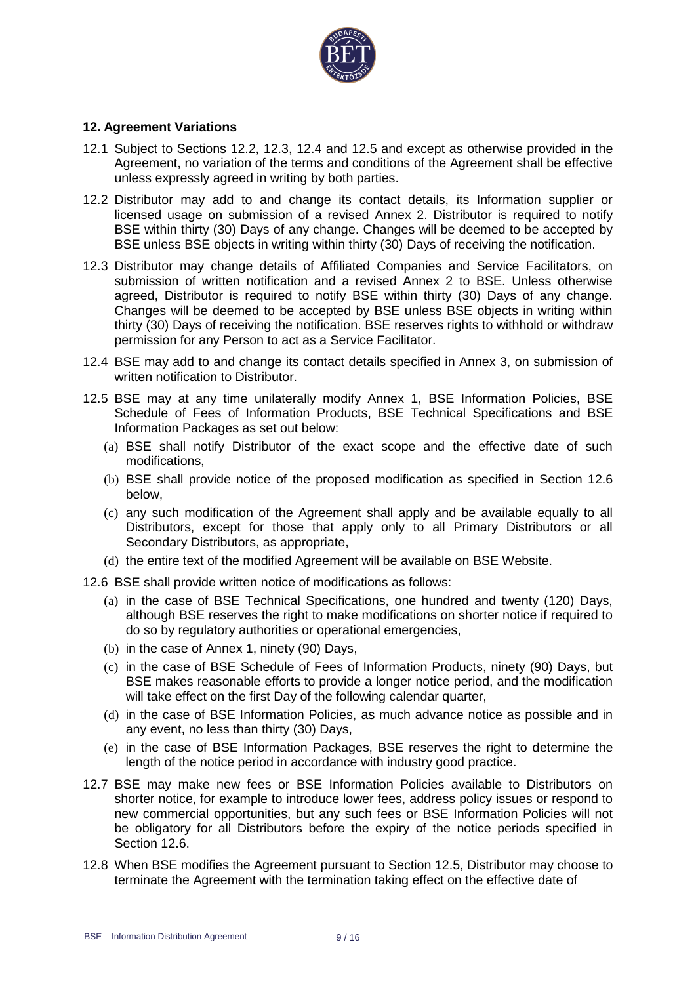

#### **12. Agreement Variations**

- 12.1 Subject to Sections 12.2, 12.3, 12.4 and 12.5 and except as otherwise provided in the Agreement, no variation of the terms and conditions of the Agreement shall be effective unless expressly agreed in writing by both parties.
- 12.2 Distributor may add to and change its contact details, its Information supplier or licensed usage on submission of a revised Annex 2. Distributor is required to notify BSE within thirty (30) Days of any change. Changes will be deemed to be accepted by BSE unless BSE objects in writing within thirty (30) Days of receiving the notification.
- 12.3 Distributor may change details of Affiliated Companies and Service Facilitators, on submission of written notification and a revised Annex 2 to BSE. Unless otherwise agreed, Distributor is required to notify BSE within thirty (30) Days of any change. Changes will be deemed to be accepted by BSE unless BSE objects in writing within thirty (30) Days of receiving the notification. BSE reserves rights to withhold or withdraw permission for any Person to act as a Service Facilitator.
- 12.4 BSE may add to and change its contact details specified in Annex 3, on submission of written notification to Distributor.
- 12.5 BSE may at any time unilaterally modify Annex 1, BSE Information Policies, BSE Schedule of Fees of Information Products, BSE Technical Specifications and BSE Information Packages as set out below:
	- (a) BSE shall notify Distributor of the exact scope and the effective date of such modifications,
	- (b) BSE shall provide notice of the proposed modification as specified in Section 12.6 below,
	- (c) any such modification of the Agreement shall apply and be available equally to all Distributors, except for those that apply only to all Primary Distributors or all Secondary Distributors, as appropriate,
	- (d) the entire text of the modified Agreement will be available on BSE Website.
- 12.6 BSE shall provide written notice of modifications as follows:
	- (a) in the case of BSE Technical Specifications, one hundred and twenty (120) Days, although BSE reserves the right to make modifications on shorter notice if required to do so by regulatory authorities or operational emergencies,
	- (b) in the case of Annex 1, ninety (90) Days,
	- (c) in the case of BSE Schedule of Fees of Information Products, ninety (90) Days, but BSE makes reasonable efforts to provide a longer notice period, and the modification will take effect on the first Day of the following calendar quarter,
	- (d) in the case of BSE Information Policies, as much advance notice as possible and in any event, no less than thirty (30) Days,
	- (e) in the case of BSE Information Packages, BSE reserves the right to determine the length of the notice period in accordance with industry good practice.
- 12.7 BSE may make new fees or BSE Information Policies available to Distributors on shorter notice, for example to introduce lower fees, address policy issues or respond to new commercial opportunities, but any such fees or BSE Information Policies will not be obligatory for all Distributors before the expiry of the notice periods specified in Section 12.6.
- 12.8 When BSE modifies the Agreement pursuant to Section 12.5, Distributor may choose to terminate the Agreement with the termination taking effect on the effective date of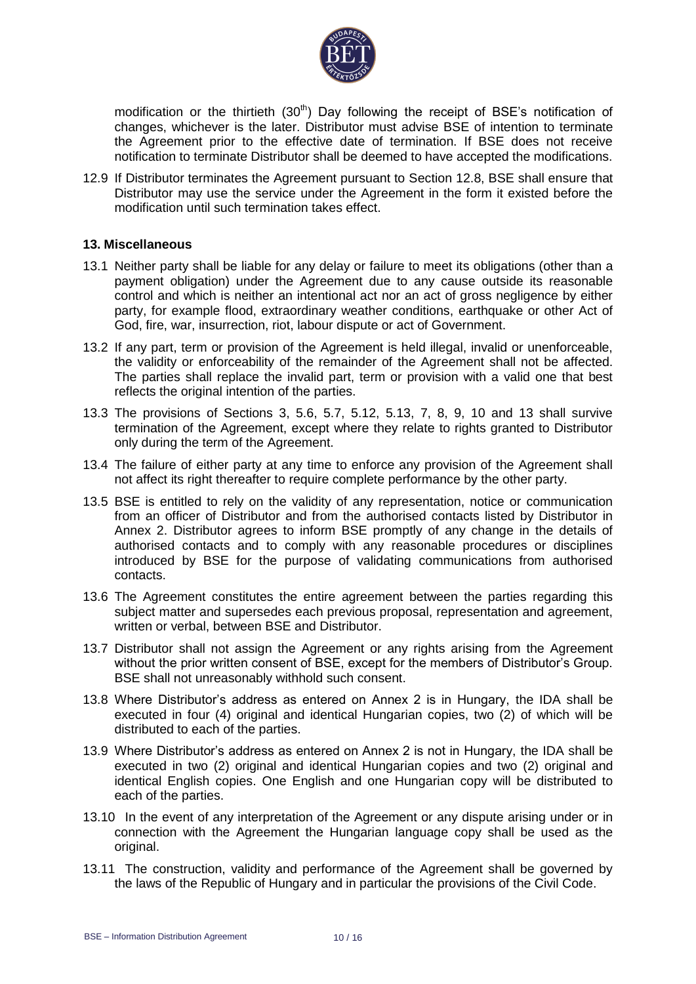

modification or the thirtieth  $(30<sup>th</sup>)$  Day following the receipt of BSE's notification of changes, whichever is the later. Distributor must advise BSE of intention to terminate the Agreement prior to the effective date of termination. If BSE does not receive notification to terminate Distributor shall be deemed to have accepted the modifications.

12.9 If Distributor terminates the Agreement pursuant to Section 12.8, BSE shall ensure that Distributor may use the service under the Agreement in the form it existed before the modification until such termination takes effect.

#### **13. Miscellaneous**

- 13.1 Neither party shall be liable for any delay or failure to meet its obligations (other than a payment obligation) under the Agreement due to any cause outside its reasonable control and which is neither an intentional act nor an act of gross negligence by either party, for example flood, extraordinary weather conditions, earthquake or other Act of God, fire, war, insurrection, riot, labour dispute or act of Government.
- 13.2 If any part, term or provision of the Agreement is held illegal, invalid or unenforceable, the validity or enforceability of the remainder of the Agreement shall not be affected. The parties shall replace the invalid part, term or provision with a valid one that best reflects the original intention of the parties.
- 13.3 The provisions of Sections 3, 5.6, 5.7, 5.12, 5.13, 7, 8, 9, 10 and 13 shall survive termination of the Agreement, except where they relate to rights granted to Distributor only during the term of the Agreement.
- 13.4 The failure of either party at any time to enforce any provision of the Agreement shall not affect its right thereafter to require complete performance by the other party.
- 13.5 BSE is entitled to rely on the validity of any representation, notice or communication from an officer of Distributor and from the authorised contacts listed by Distributor in Annex 2. Distributor agrees to inform BSE promptly of any change in the details of authorised contacts and to comply with any reasonable procedures or disciplines introduced by BSE for the purpose of validating communications from authorised contacts.
- 13.6 The Agreement constitutes the entire agreement between the parties regarding this subject matter and supersedes each previous proposal, representation and agreement, written or verbal, between BSE and Distributor.
- 13.7 Distributor shall not assign the Agreement or any rights arising from the Agreement without the prior written consent of BSE, except for the members of Distributor's Group. BSE shall not unreasonably withhold such consent.
- 13.8 Where Distributor's address as entered on Annex 2 is in Hungary, the IDA shall be executed in four (4) original and identical Hungarian copies, two (2) of which will be distributed to each of the parties.
- 13.9 Where Distributor's address as entered on Annex 2 is not in Hungary, the IDA shall be executed in two (2) original and identical Hungarian copies and two (2) original and identical English copies. One English and one Hungarian copy will be distributed to each of the parties.
- 13.10 In the event of any interpretation of the Agreement or any dispute arising under or in connection with the Agreement the Hungarian language copy shall be used as the original.
- 13.11 The construction, validity and performance of the Agreement shall be governed by the laws of the Republic of Hungary and in particular the provisions of the Civil Code.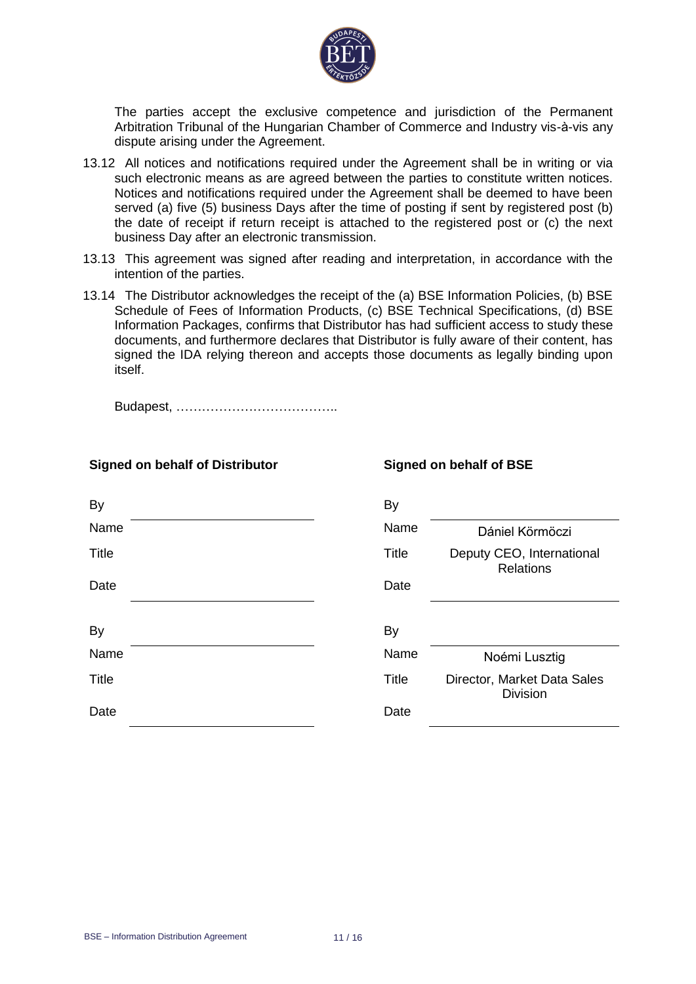

The parties accept the exclusive competence and jurisdiction of the Permanent Arbitration Tribunal of the Hungarian Chamber of Commerce and Industry vis-à-vis any dispute arising under the Agreement.

- 13.12 All notices and notifications required under the Agreement shall be in writing or via such electronic means as are agreed between the parties to constitute written notices. Notices and notifications required under the Agreement shall be deemed to have been served (a) five (5) business Days after the time of posting if sent by registered post (b) the date of receipt if return receipt is attached to the registered post or (c) the next business Day after an electronic transmission.
- 13.13 This agreement was signed after reading and interpretation, in accordance with the intention of the parties.
- 13.14 The Distributor acknowledges the receipt of the (a) BSE Information Policies, (b) BSE Schedule of Fees of Information Products, (c) BSE Technical Specifications, (d) BSE Information Packages, confirms that Distributor has had sufficient access to study these documents, and furthermore declares that Distributor is fully aware of their content, has signed the IDA relying thereon and accepts those documents as legally binding upon itself.

Budapest, ………………………………..

| <b>By</b>    | By           |                                                |
|--------------|--------------|------------------------------------------------|
| Name         | Name         | Dániel Körmöczi                                |
| <b>Title</b> | <b>Title</b> | Deputy CEO, International<br><b>Relations</b>  |
| Date         | Date         |                                                |
| By           | By           |                                                |
| Name         | Name         | Noémi Lusztig                                  |
| <b>Title</b> | <b>Title</b> | Director, Market Data Sales<br><b>Division</b> |
| Date         | Date         |                                                |

## **Signed on behalf of Distributor Signed on behalf of BSE**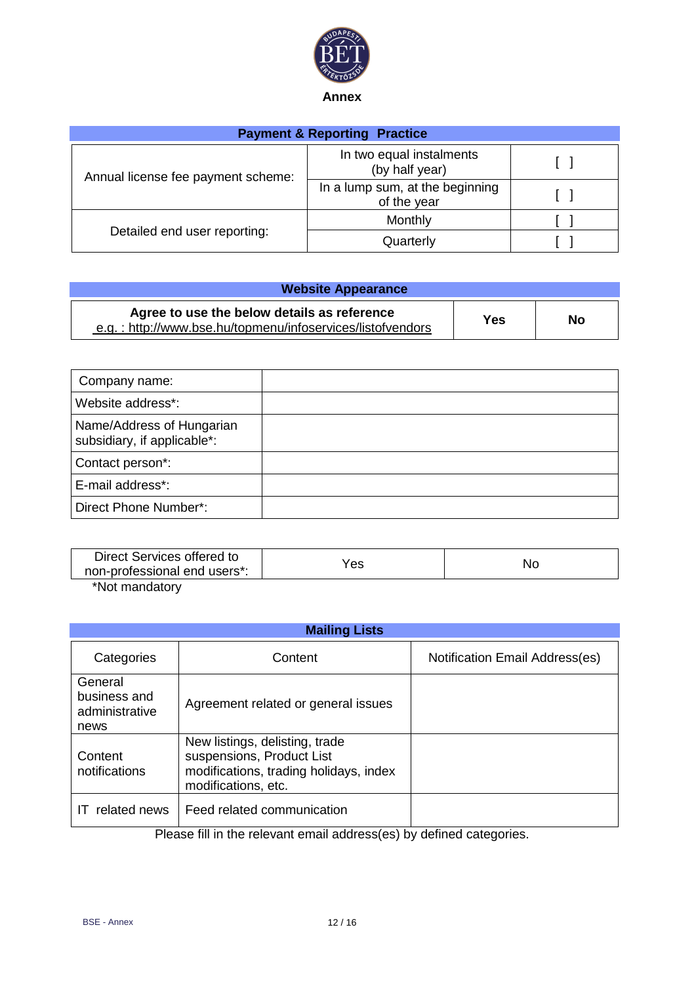

| <b>Payment &amp; Reporting Practice</b> |                                                |  |
|-----------------------------------------|------------------------------------------------|--|
| Annual license fee payment scheme:      | In two equal instalments<br>(by half year)     |  |
|                                         | In a lump sum, at the beginning<br>of the year |  |
|                                         | Monthly                                        |  |
| Detailed end user reporting:            | Quarterly                                      |  |

| <b>Website Appearance</b>                                                                                 |     |    |
|-----------------------------------------------------------------------------------------------------------|-----|----|
| Agree to use the below details as reference<br>e.g.: http://www.bse.hu/topmenu/infoservices/listofvendors | Yes | No |

| Company name:                                            |  |
|----------------------------------------------------------|--|
| Website address*:                                        |  |
| Name/Address of Hungarian<br>subsidiary, if applicable*: |  |
| Contact person*:                                         |  |
| E-mail address*:                                         |  |
| Direct Phone Number*:                                    |  |

| Direct Services offered to<br>non-professional end users*: | res | NC |
|------------------------------------------------------------|-----|----|
| $*$ Nlat paanadatami                                       |     |    |

\*Not mandatory

|                                                   | <b>Mailing Lists</b>                                                                                                         |                                |  |  |
|---------------------------------------------------|------------------------------------------------------------------------------------------------------------------------------|--------------------------------|--|--|
| Categories                                        | Content                                                                                                                      | Notification Email Address(es) |  |  |
| General<br>business and<br>administrative<br>news | Agreement related or general issues                                                                                          |                                |  |  |
| Content<br>notifications                          | New listings, delisting, trade<br>suspensions, Product List<br>modifications, trading holidays, index<br>modifications, etc. |                                |  |  |
| related news                                      | Feed related communication<br>.<br>the contract of the contract of the contract of the contract of the contract of           |                                |  |  |

Please fill in the relevant email address(es) by defined categories.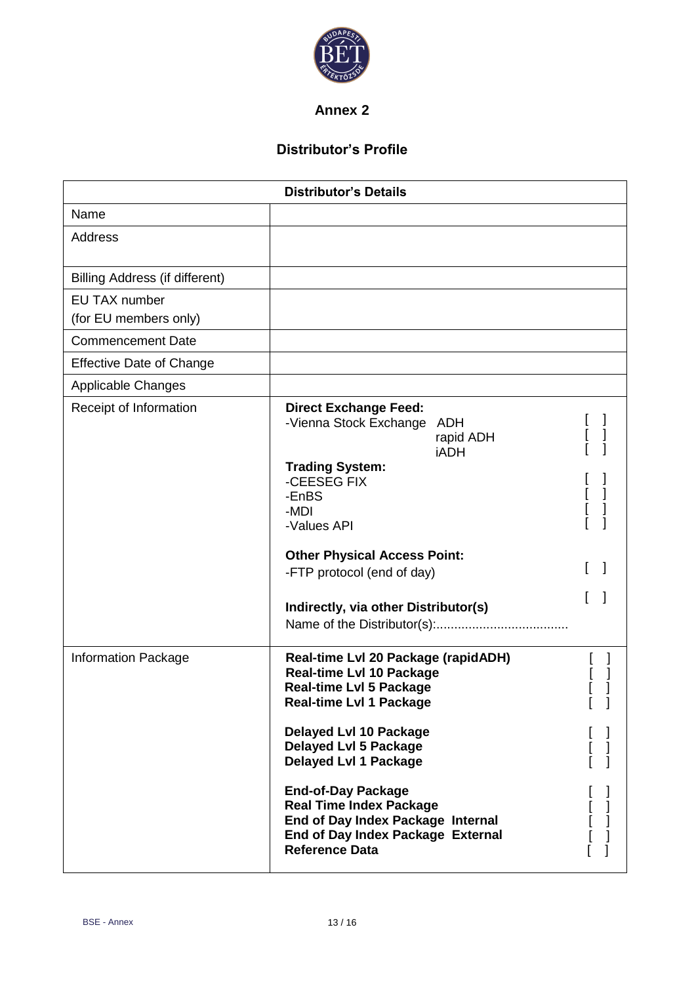

## **Annex 2**

# **Distributor's Profile**

| <b>Distributor's Details</b>                                                                                                                                                                                                                                                                                                                    |                                                            |    |
|-------------------------------------------------------------------------------------------------------------------------------------------------------------------------------------------------------------------------------------------------------------------------------------------------------------------------------------------------|------------------------------------------------------------|----|
|                                                                                                                                                                                                                                                                                                                                                 |                                                            |    |
|                                                                                                                                                                                                                                                                                                                                                 |                                                            |    |
|                                                                                                                                                                                                                                                                                                                                                 |                                                            |    |
|                                                                                                                                                                                                                                                                                                                                                 |                                                            |    |
|                                                                                                                                                                                                                                                                                                                                                 |                                                            |    |
|                                                                                                                                                                                                                                                                                                                                                 |                                                            |    |
|                                                                                                                                                                                                                                                                                                                                                 |                                                            |    |
| <b>Direct Exchange Feed:</b><br>-Vienna Stock Exchange ADH<br>rapid ADH<br><b>iADH</b><br><b>Trading System:</b><br>-CEESEG FIX<br>-EnBS<br>-MDI<br>-Values API<br><b>Other Physical Access Point:</b><br>-FTP protocol (end of day)<br>Indirectly, via other Distributor(s)                                                                    | l<br>[<br>[                                                |    |
| Real-time Lvl 20 Package (rapidADH)<br><b>Real-time Lvl 10 Package</b><br><b>Real-time LvI 5 Package</b><br><b>Real-time LvI 1 Package</b><br><b>Delayed LvI 10 Package</b><br><b>Delayed LvI 5 Package</b><br><b>Delayed Lvl 1 Package</b><br><b>End-of-Day Package</b><br><b>Real Time Index Package</b><br>End of Day Index Package Internal | L,                                                         | J. |
|                                                                                                                                                                                                                                                                                                                                                 | End of Day Index Package External<br><b>Reference Data</b> |    |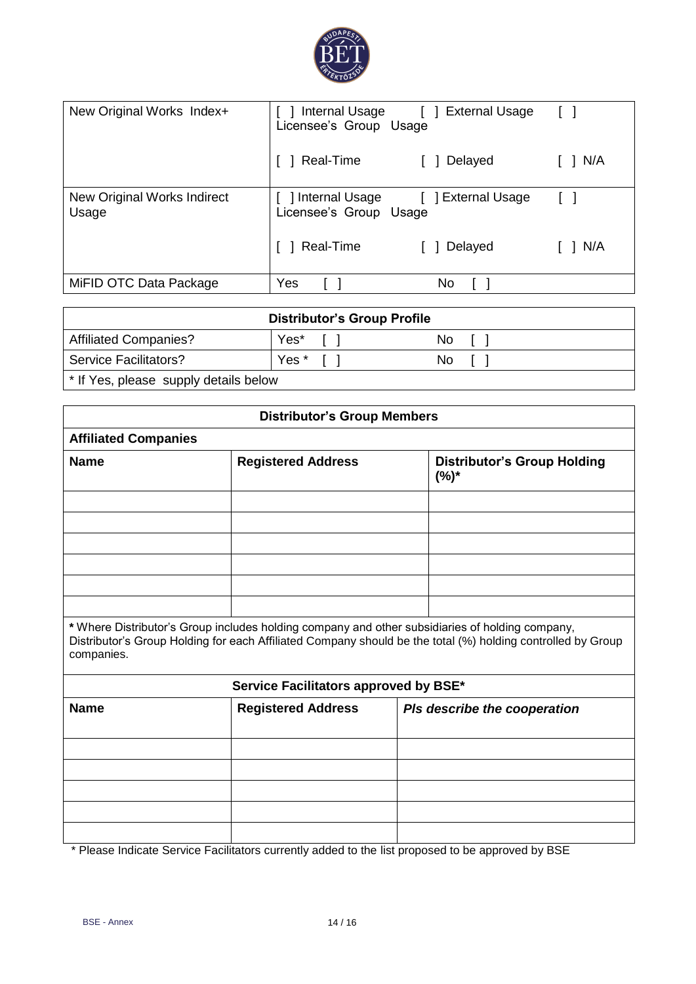

| New Original Works Index+            | Internal Usage [ ] External Usage<br>Licensee's Group Usage |                    | $\begin{bmatrix} 1 \end{bmatrix}$ |
|--------------------------------------|-------------------------------------------------------------|--------------------|-----------------------------------|
|                                      | Real-Time                                                   | Delayed            | N/A                               |
| New Original Works Indirect<br>Usage | ] Internal Usage<br>Licensee's Group Usage                  | [ ] External Usage |                                   |
|                                      | Real-Time                                                   | 1 Delayed          | 1 N/A                             |
| MiFID OTC Data Package               | Yes                                                         | No                 |                                   |

| <b>Distributor's Group Profile</b>    |       |     |  |
|---------------------------------------|-------|-----|--|
| <b>Affiliated Companies?</b>          | Yes*  | No. |  |
| <b>Service Facilitators?</b>          | Yes * | No. |  |
| * If Yes, please supply details below |       |     |  |

|                             | <b>Distributor's Group Members</b>    |                                                                                                                                                                                                                |
|-----------------------------|---------------------------------------|----------------------------------------------------------------------------------------------------------------------------------------------------------------------------------------------------------------|
| <b>Affiliated Companies</b> |                                       |                                                                                                                                                                                                                |
| <b>Name</b>                 | <b>Registered Address</b>             | <b>Distributor's Group Holding</b><br>$(%)^*$                                                                                                                                                                  |
|                             |                                       |                                                                                                                                                                                                                |
|                             |                                       |                                                                                                                                                                                                                |
|                             |                                       |                                                                                                                                                                                                                |
|                             |                                       |                                                                                                                                                                                                                |
| companies.                  |                                       | * Where Distributor's Group includes holding company and other subsidiaries of holding company,<br>Distributor's Group Holding for each Affiliated Company should be the total (%) holding controlled by Group |
|                             | Service Facilitators approved by BSE* |                                                                                                                                                                                                                |
| <b>Name</b>                 | <b>Registered Address</b>             | Pls describe the cooperation                                                                                                                                                                                   |
|                             |                                       |                                                                                                                                                                                                                |
|                             |                                       |                                                                                                                                                                                                                |
|                             |                                       |                                                                                                                                                                                                                |
|                             |                                       |                                                                                                                                                                                                                |
|                             |                                       | * Diogoo Indigate Canziao Equiitatore qurrently added to the list prepaged to be enproved by PCE                                                                                                               |

Please Indicate Service Facilitators currently added to the list proposed to be approved by BSE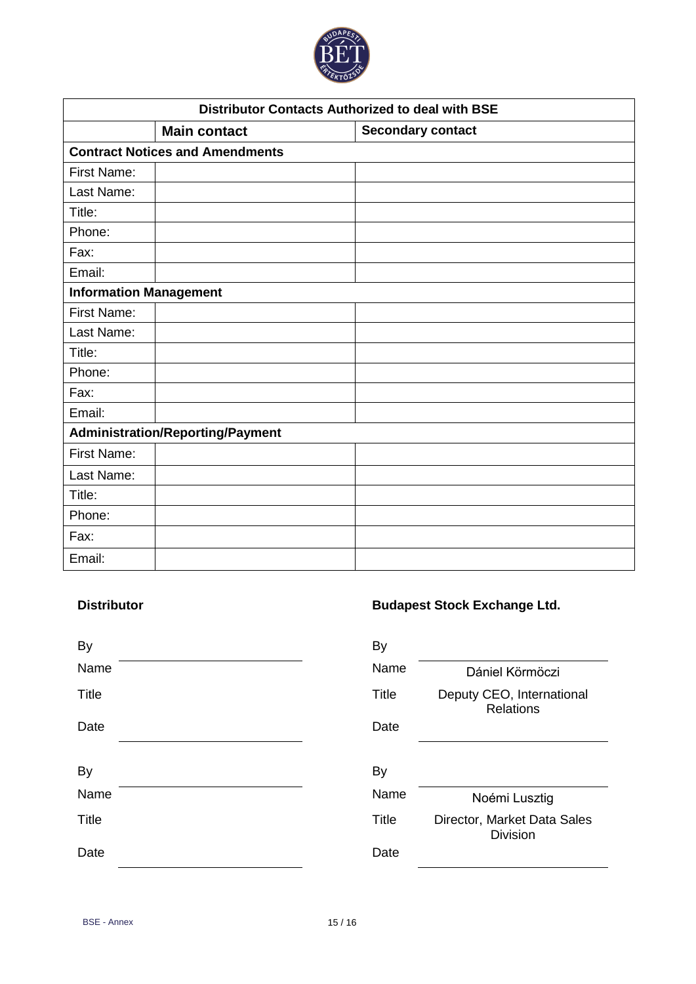

| <b>Distributor Contacts Authorized to deal with BSE</b> |                                         |                          |
|---------------------------------------------------------|-----------------------------------------|--------------------------|
|                                                         | <b>Main contact</b>                     | <b>Secondary contact</b> |
|                                                         | <b>Contract Notices and Amendments</b>  |                          |
| <b>First Name:</b>                                      |                                         |                          |
| Last Name:                                              |                                         |                          |
| Title:                                                  |                                         |                          |
| Phone:                                                  |                                         |                          |
| Fax:                                                    |                                         |                          |
| Email:                                                  |                                         |                          |
| <b>Information Management</b>                           |                                         |                          |
| First Name:                                             |                                         |                          |
| Last Name:                                              |                                         |                          |
| Title:                                                  |                                         |                          |
| Phone:                                                  |                                         |                          |
| Fax:                                                    |                                         |                          |
| Email:                                                  |                                         |                          |
|                                                         | <b>Administration/Reporting/Payment</b> |                          |
| <b>First Name:</b>                                      |                                         |                          |
| Last Name:                                              |                                         |                          |
| Title:                                                  |                                         |                          |
| Phone:                                                  |                                         |                          |
| Fax:                                                    |                                         |                          |
| Email:                                                  |                                         |                          |

# **Distributor Budapest Stock Exchange Ltd.**

| <b>By</b>    | By           |                                                |
|--------------|--------------|------------------------------------------------|
| Name         | Name         | Dániel Körmöczi                                |
| <b>Title</b> | <b>Title</b> | Deputy CEO, International<br><b>Relations</b>  |
| Date         | Date         |                                                |
|              |              |                                                |
| <b>By</b>    | By           |                                                |
| Name         | Name         | Noémi Lusztig                                  |
| <b>Title</b> | <b>Title</b> | Director, Market Data Sales<br><b>Division</b> |
| Date         | Date         |                                                |